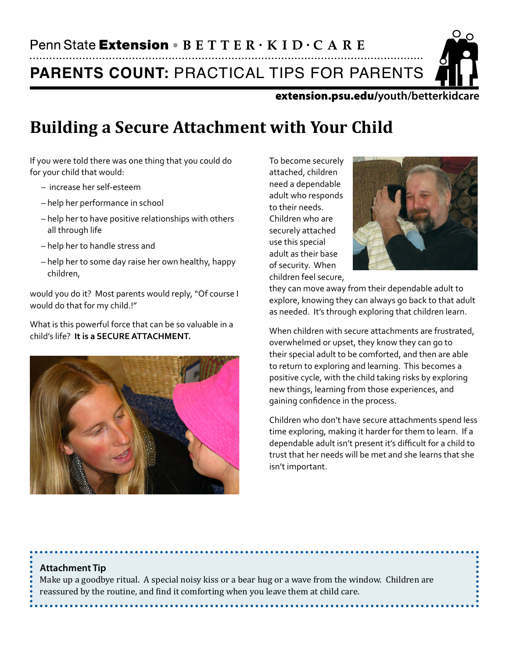**PARENTS COUNT:** PRACTICAL TIPS FOR PARENTS

extension.psu.edu/**youth/betterkidcare**

# **Building a Secure Attachment with Your Child**

If you were told there was one thing that you could do for your child that would:

- increase her self-esteem
- help her performance in school
- help her to have positive relationships with others all through life
- help her to handle stress and
- help her to some day raise her own healthy, happy children,

would you do it? Most parents would reply, "Of course I would do that for my child.!"

What is this powerful force that can be so valuable in a child's life? **It is a SECURE ATTACHMENT.**



To become securely attached, children need a dependable adult who responds to their needs. Children who are securely attached use this special adult as their base of security. When children feel secure,



they can move away from their dependable adult to explore, knowing they can always go back to that adult as needed. It's through exploring that children learn.

When children with secure attachments are frustrated, overwhelmed or upset, they know they can go to their special adult to be comforted, and then are able to return to exploring and learning. This becomes a positive cycle, with the child taking risks by exploring new things, learning from those experiences, and gaining confidence in the process.

Children who don't have secure attachments spend less time exploring, making it harder for them to learn. If a dependable adult isn't present it's difficult for a child to trust that her needs will be met and she learns that she isn't important.

#### **Attachment Tip**

Make up a goodbye ritual. A special noisy kiss or a bear hug or a wave from the window. Children are reassured by the routine, and find it comforting when you leave them at child care.